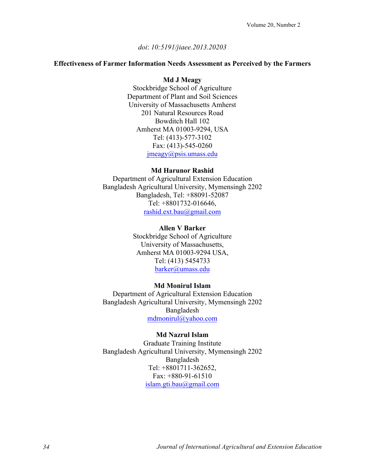### *doi*: *10:5191/jiaee.2013.20203*

### **Effectiveness of Farmer Information Needs Assessment as Perceived by the Farmers**

### **Md J Meagy**

Stockbridge School of Agriculture Department of Plant and Soil Sciences University of Massachusetts Amherst 201 Natural Resources Road Bowditch Hall 102 Amherst MA 01003-9294, USA Tel: (413)-577-3102 Fax: (413)-545-0260 jmeagy@psis.umass.edu

### **Md Harunor Rashid**

Department of Agricultural Extension Education Bangladesh Agricultural University, Mymensingh 2202 Bangladesh, Tel: +88091-52087 Tel: +8801732-016646, rashid.ext.bau@gmail.com

#### **Allen V Barker**

Stockbridge School of Agriculture University of Massachusetts, Amherst MA 01003-9294 USA, Tel: (413) 5454733 barker@umass.edu

### **Md Monirul Islam**

Department of Agricultural Extension Education Bangladesh Agricultural University, Mymensingh 2202 Bangladesh mdmonirul@yahoo.com

### **Md Nazrul Islam**

Graduate Training Institute Bangladesh Agricultural University, Mymensingh 2202 Bangladesh Tel: +8801711-362652, Fax:  $+880-91-61510$ islam.gti.bau@gmail.com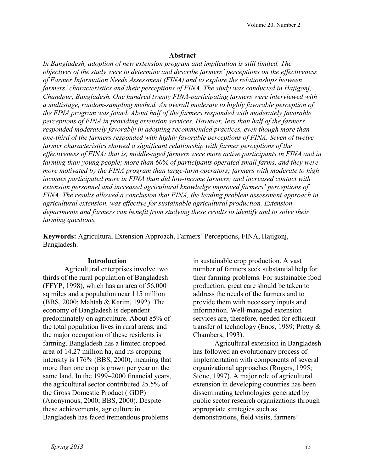## **Abstract**

*In Bangladesh, adoption of new extension program and implication is still limited. The objectives of the study were to determine and describe farmers' perceptions on the effectiveness of Farmer Information Needs Assessment (FINA) and to explore the relationships between farmers' characteristics and their perceptions of FINA. The study was conducted in Hajigonj, Chandpur, Bangladesh. One hundred twenty FINA-participating farmers were interviewed with a multistage, random-sampling method. An overall moderate to highly favorable perception of the FINA program was found. About half of the farmers responded with moderately favorable perceptions of FINA in providing extension services. However, less than half of the farmers responded moderately favorably in adopting recommended practices, even though more than one-third of the farmers responded with highly favorable perceptions of FINA. Seven of twelve farmer characteristics showed a significant relationship with farmer perceptions of the effectiveness of FINA: that is, middle-aged farmers were more active participants in FINA and in farming than young people; more than 60% of participants operated small farms, and they were more motivated by the FINA program than large-farm operators; farmers with moderate to high incomes participated more in FINA than did low-income farmers; and increased contact with extension personnel and increased agricultural knowledge improved farmers' perceptions of FINA. The results allowed a conclusion that FINA, the leading problem assessment approach in agricultural extension, was effective for sustainable agricultural production. Extension departments and farmers can benefit from studying these results to identify and to solve their farming questions.*

**Keywords:** Agricultural Extension Approach, Farmers' Perceptions, FINA, Hajigonj, Bangladesh.

### **Introduction**

Agricultural enterprises involve two thirds of the rural population of Bangladesh (FFYP, 1998), which has an area of 56,000 sq miles and a population near 115 million (BBS, 2000; Mahtab & Karim, 1992). The economy of Bangladesh is dependent predominately on agriculture. About 85% of the total population lives in rural areas, and the major occupation of these residents is farming. Bangladesh has a limited cropped area of 14.27 million ha, and its cropping intensity is 176% (BBS, 2000), meaning that more than one crop is grown per year on the same land. In the 1999–2000 financial years, the agricultural sector contributed 25.5% of the Gross Domestic Product ( GDP) (Anonymous, 2000; BBS, 2000). Despite these achievements, agriculture in Bangladesh has faced tremendous problems

in sustainable crop production. A vast number of farmers seek substantial help for their farming problems. For sustainable food production, great care should be taken to address the needs of the farmers and to provide them with necessary inputs and information. Well-managed extension services are, therefore, needed for efficient transfer of technology (Enos, 1989; Pretty & Chambers, 1993).

Agricultural extension in Bangladesh has followed an evolutionary process of implementation with components of several organizational approaches (Rogers, 1995; Stone, 1997). A major role of agricultural extension in developing countries has been disseminating technologies generated by public sector research organizations through appropriate strategies such as demonstrations, field visits, farmers'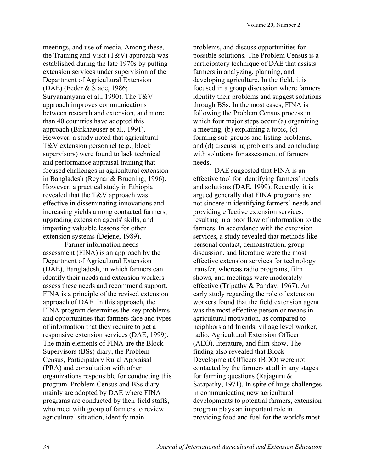meetings, and use of media. Among these, the Training and Visit  $(T&V)$  approach was established during the late 1970s by putting extension services under supervision of the Department of Agricultural Extension (DAE) (Feder & Slade, 1986; Suryanarayana et al., 1990). The T&V approach improves communications between research and extension, and more than 40 countries have adopted this approach (Birkhaeuser et al., 1991). However, a study noted that agricultural T&V extension personnel (e.g., block supervisors) were found to lack technical and performance appraisal training that focused challenges in agricultural extension in Bangladesh (Reynar & Bruening, 1996). However, a practical study in Ethiopia revealed that the T&V approach was effective in disseminating innovations and increasing yields among contacted farmers, upgrading extension agents' skills, and imparting valuable lessons for other extension systems (Dejene, 1989).

Farmer information needs assessment (FINA) is an approach by the Department of Agricultural Extension (DAE), Bangladesh, in which farmers can identify their needs and extension workers assess these needs and recommend support. FINA is a principle of the revised extension approach of DAE. In this approach, the FINA program determines the key problems and opportunities that farmers face and types of information that they require to get a responsive extension services (DAE, 1999). The main elements of FINA are the Block Supervisors (BSs) diary, the Problem Census, Participatory Rural Appraisal (PRA) and consultation with other organizations responsible for conducting this program. Problem Census and BSs diary mainly are adopted by DAE where FINA programs are conducted by their field staffs, who meet with group of farmers to review agricultural situation, identify main

problems, and discuss opportunities for possible solutions. The Problem Census is a participatory technique of DAE that assists farmers in analyzing, planning, and developing agriculture. In the field, it is focused in a group discussion where farmers identify their problems and suggest solutions through BSs. In the most cases, FINA is following the Problem Census process in which four major steps occur (a) organizing a meeting, (b) explaining a topic, (c) forming sub-groups and listing problems, and (d) discussing problems and concluding with solutions for assessment of farmers needs.

DAE suggested that FINA is an effective tool for identifying farmers' needs and solutions (DAE, 1999). Recently, it is argued generally that FINA programs are not sincere in identifying farmers' needs and providing effective extension services, resulting in a poor flow of information to the farmers. In accordance with the extension services, a study revealed that methods like personal contact, demonstration, group discussion, and literature were the most effective extension services for technology transfer, whereas radio programs, film shows, and meetings were moderately effective (Tripathy & Panday, 1967). An early study regarding the role of extension workers found that the field extension agent was the most effective person or means in agricultural motivation, as compared to neighbors and friends, village level worker, radio, Agricultural Extension Officer (AEO), literature, and film show. The finding also revealed that Block Development Officers (BDO) were not contacted by the farmers at all in any stages for farming questions (Rajaguru  $\&$ Satapathy, 1971). In spite of huge challenges in communicating new agricultural developments to potential farmers, extension program plays an important role in providing food and fuel for the world's most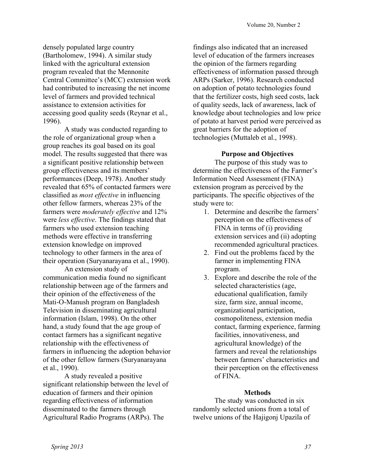densely populated large country (Bartholomew, 1994). A similar study linked with the agricultural extension program revealed that the Mennonite Central Committee's (MCC) extension work had contributed to increasing the net income level of farmers and provided technical assistance to extension activities for accessing good quality seeds (Reynar et al., 1996).

A study was conducted regarding to the role of organizational group when a group reaches its goal based on its goal model. The results suggested that there was a significant positive relationship between group effectiveness and its members' performances (Deep, 1978). Another study revealed that 65% of contacted farmers were classified as *most effective* in influencing other fellow farmers, whereas 23% of the farmers were *moderately effective* and 12% were *less effective*. The findings stated that farmers who used extension teaching methods were effective in transferring extension knowledge on improved technology to other farmers in the area of their operation (Suryanarayana et al., 1990).

An extension study of communication media found no significant relationship between age of the farmers and their opinion of the effectiveness of the Mati-O-Manush program on Bangladesh Television in disseminating agricultural information (Islam, 1998). On the other hand, a study found that the age group of contact farmers has a significant negative relationship with the effectiveness of farmers in influencing the adoption behavior of the other fellow farmers (Suryanarayana et al., 1990).

A study revealed a positive significant relationship between the level of education of farmers and their opinion regarding effectiveness of information disseminated to the farmers through Agricultural Radio Programs (ARPs). The

findings also indicated that an increased level of education of the farmers increases the opinion of the farmers regarding effectiveness of information passed through ARPs (Sarker, 1996). Research conducted on adoption of potato technologies found that the fertilizer costs, high seed costs, lack of quality seeds, lack of awareness, lack of knowledge about technologies and low price of potato at harvest period were perceived as great barriers for the adoption of technologies (Muttaleb et al., 1998).

# **Purpose and Objectives**

The purpose of this study was to determine the effectiveness of the Farmer's Information Need Assessment (FINA) extension program as perceived by the participants. The specific objectives of the study were to:

- 1. Determine and describe the farmers' perception on the effectiveness of FINA in terms of (i) providing extension services and (ii) adopting recommended agricultural practices.
- 2. Find out the problems faced by the farmer in implementing FINA program.
- 3. Explore and describe the role of the selected characteristics (age, educational qualification, family size, farm size, annual income, organizational participation, cosmopoliteness, extension media contact, farming experience, farming facilities, innovativeness, and agricultural knowledge) of the farmers and reveal the relationships between farmers' characteristics and their perception on the effectiveness of FINA.

# **Methods**

The study was conducted in six randomly selected unions from a total of twelve unions of the Hajigonj Upazila of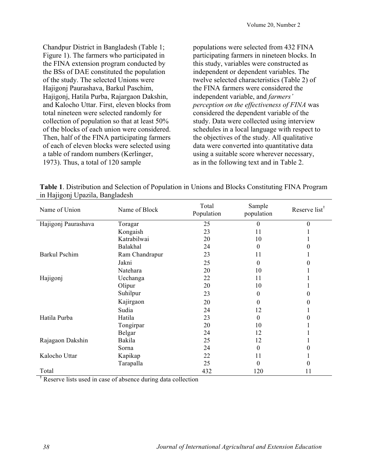Chandpur District in Bangladesh (Table 1; Figure 1). The farmers who participated in the FINA extension program conducted by the BSs of DAE constituted the population of the study. The selected Unions were Hajigonj Paurashava, Barkul Paschim, Hajigonj, Hatila Purba, Rajargaon Dakshin, and Kalocho Uttar. First, eleven blocks from total nineteen were selected randomly for collection of population so that at least 50% of the blocks of each union were considered. Then, half of the FINA participating farmers of each of eleven blocks were selected using a table of random numbers (Kerlinger, 1973). Thus, a total of 120 sample

populations were selected from 432 FINA participating farmers in nineteen blocks. In this study, variables were constructed as independent or dependent variables. The twelve selected characteristics (Table 2) of the FINA farmers were considered the independent variable, and *farmers' perception on the effectiveness of FINA* was considered the dependent variable of the study. Data were collected using interview schedules in a local language with respect to the objectives of the study. All qualitative data were converted into quantitative data using a suitable score wherever necessary, as in the following text and in Table 2.

| Table 1. Distribution and Selection of Population in Unions and Blocks Constituting FINA Program |  |
|--------------------------------------------------------------------------------------------------|--|
| in Hajigonj Upazila, Bangladesh                                                                  |  |
|                                                                                                  |  |

| Name of Union        | Name of Block  | Total<br>Population | Sample<br>population | Reserve list <sup>†</sup> |
|----------------------|----------------|---------------------|----------------------|---------------------------|
| Hajigonj Paurashava  | Toragar        | 25                  | $\theta$             | $\boldsymbol{0}$          |
|                      | Kongaish       | 23                  | 11                   |                           |
|                      | Katrabilwai    | 20                  | 10                   |                           |
|                      | Balakhal       | 24                  | 0                    | $\theta$                  |
| <b>Barkul Pschim</b> | Ram Chandrapur | 23                  | 11                   | л.                        |
|                      | Jakni          | 25                  | 0                    | $\theta$                  |
|                      | Natehara       | 20                  | 10                   |                           |
| Hajigonj             | Uechanga       | 22                  | 11                   |                           |
|                      | Olipur         | 20                  | 10                   |                           |
|                      | Suhilpur       | 23                  | 0                    | $\theta$                  |
|                      | Kajirgaon      | 20                  | 0                    | $\theta$                  |
|                      | Sudia          | 24                  | 12                   | 1                         |
| Hatila Purba         | Hatila         | 23                  | 0                    | $\Omega$                  |
|                      | Tongirpar      | 20                  | 10                   |                           |
|                      | Belgar         | 24                  | 12                   |                           |
| Rajagaon Dakshin     | Bakila         | 25                  | 12                   |                           |
|                      | Sorna          | 24                  | 0                    | $\theta$                  |
| Kalocho Uttar        | Kapikap        | 22                  | 11                   | 1                         |
|                      | Tarapalla      | 25                  | 0                    | $\boldsymbol{0}$          |
| Total                |                | 432                 | 120                  | 11                        |

**†** Reserve lists used in case of absence during data collection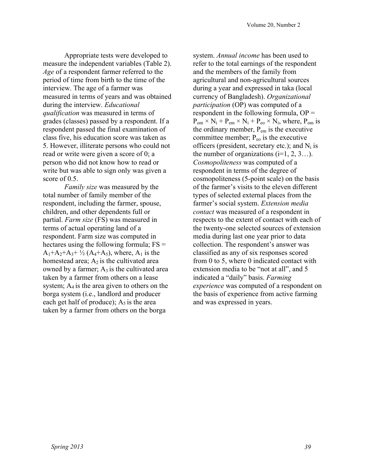Appropriate tests were developed to measure the independent variables (Table 2). *Age* of a respondent farmer referred to the period of time from birth to the time of the interview. The age of a farmer was measured in terms of years and was obtained during the interview. *Educational qualification* was measured in terms of grades (classes) passed by a respondent. If a respondent passed the final examination of class five, his education score was taken as 5. However, illiterate persons who could not read or write were given a score of 0; a person who did not know how to read or write but was able to sign only was given a score of  $0.5$ .

*Family size* was measured by the total number of family member of the respondent, including the farmer, spouse, children, and other dependents full or partial. *Farm size* (FS) was measured in terms of actual operating land of a respondent. Farm size was computed in hectares using the following formula;  $FS =$  $A_1+A_2+A_3+ \frac{1}{2}(A_4+A_5)$ , where,  $A_1$  is the homestead area;  $A_2$  is the cultivated area owned by a farmer;  $A_3$  is the cultivated area taken by a farmer from others on a lease system;  $A_4$  is the area given to others on the borga system (i.e., landlord and producer each get half of produce);  $A_5$  is the area taken by a farmer from others on the borga

system. *Annual income* has been used to refer to the total earnings of the respondent and the members of the family from agricultural and non-agricultural sources during a year and expressed in taka (local currency of Bangladesh). *Organizational participation* (OP) was computed of a respondent in the following formula,  $OP =$  $P_{\text{om}} \times N_i + P_{\text{em}} \times N_i + P_{\text{eo}} \times N_i$ , where,  $P_{\text{om}}$  is the ordinary member,  $P_{em}$  is the executive committee member;  $P_{\rm eo}$  is the executive officers (president, secretary etc.); and  $N_i$  is the number of organizations  $(i=1, 2, 3...)$ . *Cosmopoliteness* was computed of a respondent in terms of the degree of cosmopoliteness (5-point scale) on the basis of the farmer's visits to the eleven different types of selected external places from the farmer's social system. *Extension media contact* was measured of a respondent in respects to the extent of contact with each of the twenty-one selected sources of extension media during last one year prior to data collection. The respondent's answer was classified as any of six responses scored from 0 to 5, where 0 indicated contact with extension media to be "not at all", and 5 indicated a "daily" basis. *Farming experience* was computed of a respondent on the basis of experience from active farming and was expressed in years.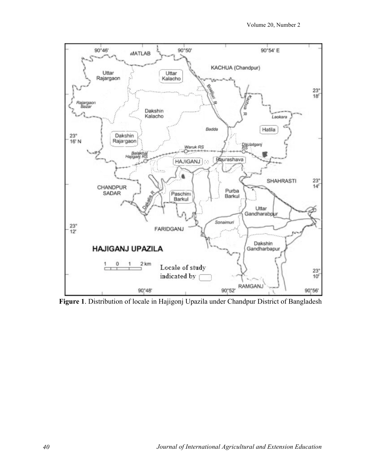

**Figure 1**. Distribution of locale in Hajigonj Upazila under Chandpur District of Bangladesh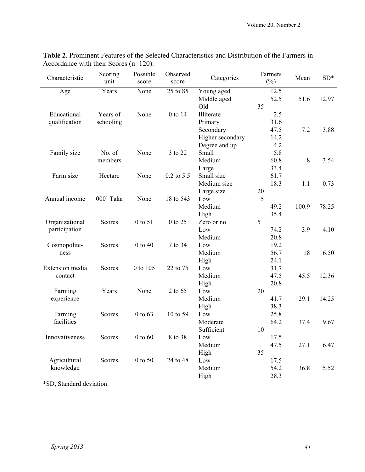| Characteristic  | Scoring<br>unit | Possible<br>score | Observed<br>score | Categories       |    | Farmers<br>$(\% )$ | Mean  | $SD*$ |
|-----------------|-----------------|-------------------|-------------------|------------------|----|--------------------|-------|-------|
| Age             | Years           | None              | 25 to 85          | Young aged       |    | 12.5               |       |       |
|                 |                 |                   |                   | Middle aged      |    | 52.5               | 51.6  | 12.97 |
|                 |                 |                   |                   | Old              | 35 |                    |       |       |
| Educational     | Years of        | None              | 0 to 14           | Illiterate       |    | 2.5                |       |       |
| qualification   | schooling       |                   |                   | Primary          |    | 31.6               |       |       |
|                 |                 |                   |                   | Secondary        |    | 47.5               | 7.2   | 3.88  |
|                 |                 |                   |                   | Higher secondary |    | 14.2               |       |       |
|                 |                 |                   |                   | Degree and up    |    | 4.2                |       |       |
| Family size     | No. of          | None              | 3 to 22           | Small            |    | 5.8                |       |       |
|                 | members         |                   |                   | Medium           |    | 60.8               | 8     | 3.54  |
|                 |                 |                   |                   | Large            |    | 33.4               |       |       |
| Farm size       | Hectare         | None              | $0.2$ to $5.5$    | Small size       |    | 61.7               |       |       |
|                 |                 |                   |                   | Medium size      |    | 18.3               | 1.1   | 0.73  |
|                 |                 |                   |                   | Large size       | 20 |                    |       |       |
| Annual income   | 000' Taka       | None              | 18 to 543         | Low              | 15 |                    |       |       |
|                 |                 |                   |                   | Medium           |    | 49.2               | 100.9 | 78.25 |
|                 |                 |                   |                   | High             |    | 35.4               |       |       |
| Organizational  | Scores          | 0 to 51           | 0 to 25           | Zero or no       | 5  |                    |       |       |
| participation   |                 |                   |                   | Low              |    | 74.2               | 3.9   | 4.10  |
|                 |                 |                   |                   | Medium           |    | 20.8               |       |       |
| Cosmopolite-    | Scores          | $0$ to $40$       | 7 to 34           | Low              |    | 19.2               |       |       |
| ness            |                 |                   |                   | Medium           |    | 56.7               | 18    | 6.50  |
|                 |                 |                   |                   | High             |    | 24.1               |       |       |
| Extension media | Scores          | 0 to 105          | 22 to 75          | Low              |    | 31.7               |       |       |
| contact         |                 |                   |                   | Medium           |    | 47.5               | 45.5  | 12.36 |
|                 |                 |                   |                   | High             |    | 20.8               |       |       |
| Farming         | Years           | None              | 2 to 65           | Low              | 20 |                    |       |       |
| experience      |                 |                   |                   | Medium           |    | 41.7               | 29.1  | 14.25 |
|                 |                 |                   |                   | High             |    | 38.3               |       |       |
| Farming         | Scores          | $0$ to $63$       | 10 to 59          | Low              |    | 25.8               |       |       |
| facilities      |                 |                   |                   | Moderate         |    | 64.2               | 37.4  | 9.67  |
|                 |                 |                   |                   | Sufficient       | 10 |                    |       |       |
| Innovativeness  | Scores          | $0$ to $60$       | 8 to 38           | Low              |    | 17.5               |       |       |
|                 |                 |                   |                   | Medium           |    | 47.5               | 27.1  | 6.47  |
|                 |                 |                   |                   | High             | 35 |                    |       |       |
| Agricultural    | Scores          | 0 to 50           | 24 to 48          | Low              |    | 17.5               |       |       |
| knowledge       |                 |                   |                   | Medium           |    | 54.2               | 36.8  | 5.52  |
|                 |                 |                   |                   | High             |    | 28.3               |       |       |

| <b>Table 2.</b> Prominent Features of the Selected Characteristics and Distribution of the Farmers in |
|-------------------------------------------------------------------------------------------------------|
| Accordance with their Scores $(n=120)$ .                                                              |

\*SD, Standard deviation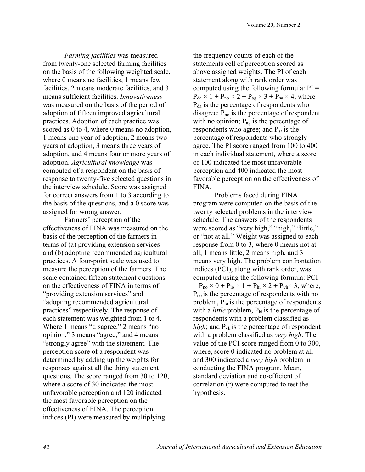*Farming facilities* was measured from twenty-one selected farming facilities on the basis of the following weighted scale, where 0 means no facilities, 1 means few facilities, 2 means moderate facilities, and 3 means sufficient facilities. *Innovativeness* was measured on the basis of the period of adoption of fifteen improved agricultural practices. Adoption of each practice was scored as 0 to 4, where 0 means no adoption, 1 means one year of adoption, 2 means two years of adoption, 3 means three years of adoption, and 4 means four or more years of adoption. *Agricultural knowledge* was computed of a respondent on the basis of response to twenty-five selected questions in the interview schedule. Score was assigned for correct answers from 1 to 3 according to the basis of the questions, and a 0 score was assigned for wrong answer.

Farmers' perception of the effectiveness of FINA was measured on the basis of the perception of the farmers in terms of (a) providing extension services and (b) adopting recommended agricultural practices. A four-point scale was used to measure the perception of the farmers. The scale contained fifteen statement questions on the effectiveness of FINA in terms of "providing extension services" and "adopting recommended agricultural practices" respectively. The response of each statement was weighted from 1 to 4. Where 1 means "disagree," 2 means "no opinion," 3 means "agree," and 4 means "strongly agree" with the statement. The perception score of a respondent was determined by adding up the weights for responses against all the thirty statement questions. The score ranged from 30 to 120, where a score of 30 indicated the most unfavorable perception and 120 indicated the most favorable perception on the effectiveness of FINA. The perception indices (PI) were measured by multiplying

the frequency counts of each of the statements cell of perception scored as above assigned weights. The PI of each statement along with rank order was computed using the following formula:  $PI =$  $P_{da} \times 1 + P_{no} \times 2 + P_{ag} \times 3 + P_{sa} \times 4$ , where  $P_{da}$  is the percentage of respondents who disagree;  $P_{no}$  is the percentage of respondent with no opinion;  $P_{ag}$  is the percentage of respondents who agree; and  $P_{sa}$  is the percentage of respondents who strongly agree. The PI score ranged from 100 to 400 in each individual statement, where a score of 100 indicated the most unfavorable perception and 400 indicated the most favorable perception on the effectiveness of FINA.

Problems faced during FINA program were computed on the basis of the twenty selected problems in the interview schedule. The answers of the respondents were scored as "very high," "high," "little," or "not at all." Weight was assigned to each response from 0 to 3, where 0 means not at all, 1 means little, 2 means high, and 3 means very high. The problem confrontation indices (PCI), along with rank order, was computed using the following formula: PCI  $= P_{\text{no}} \times 0 + P_{\text{lo}} \times 1 + P_{\text{hi}} \times 2 + P_{\text{vh}} \times 3$ , where,  $P_{no}$  is the percentage of respondents with no problem,  $P_{10}$  is the percentage of respondents with a *little* problem, P<sub>hi</sub> is the percentage of respondents with a problem classified as *high*; and P<sub>vh</sub> is the percentage of respondent with a problem classified as *very high*. The value of the PCI score ranged from 0 to 300, where, score 0 indicated no problem at all and 300 indicated a *very high* problem in conducting the FINA program. Mean, standard deviation and co-efficient of correlation (r) were computed to test the hypothesis.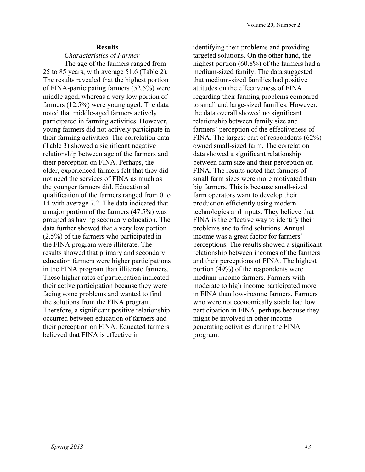#### **Results**

### *Characteristics of Farmer*

The age of the farmers ranged from 25 to 85 years, with average 51.6 (Table 2). The results revealed that the highest portion of FINA-participating farmers (52.5%) were middle aged, whereas a very low portion of farmers (12.5%) were young aged. The data noted that middle-aged farmers actively participated in farming activities. However, young farmers did not actively participate in their farming activities. The correlation data (Table 3) showed a significant negative relationship between age of the farmers and their perception on FINA. Perhaps, the older, experienced farmers felt that they did not need the services of FINA as much as the younger farmers did. Educational qualification of the farmers ranged from 0 to 14 with average 7.2. The data indicated that a major portion of the farmers (47.5%) was grouped as having secondary education. The data further showed that a very low portion (2.5%) of the farmers who participated in the FINA program were illiterate. The results showed that primary and secondary education farmers were higher participations in the FINA program than illiterate farmers. These higher rates of participation indicated their active participation because they were facing some problems and wanted to find the solutions from the FINA program. Therefore, a significant positive relationship occurred between education of farmers and their perception on FINA. Educated farmers believed that FINA is effective in

identifying their problems and providing targeted solutions. On the other hand, the highest portion (60.8%) of the farmers had a medium-sized family. The data suggested that medium-sized families had positive attitudes on the effectiveness of FINA regarding their farming problems compared to small and large-sized families. However, the data overall showed no significant relationship between family size and farmers' perception of the effectiveness of FINA. The largest part of respondents (62%) owned small-sized farm. The correlation data showed a significant relationship between farm size and their perception on FINA. The results noted that farmers of small farm sizes were more motivated than big farmers. This is because small-sized farm operators want to develop their production efficiently using modern technologies and inputs. They believe that FINA is the effective way to identify their problems and to find solutions. Annual income was a great factor for farmers' perceptions. The results showed a significant relationship between incomes of the farmers and their perceptions of FINA. The highest portion (49%) of the respondents were medium-income farmers. Farmers with moderate to high income participated more in FINA than low-income farmers. Farmers who were not economically stable had low participation in FINA, perhaps because they might be involved in other incomegenerating activities during the FINA program.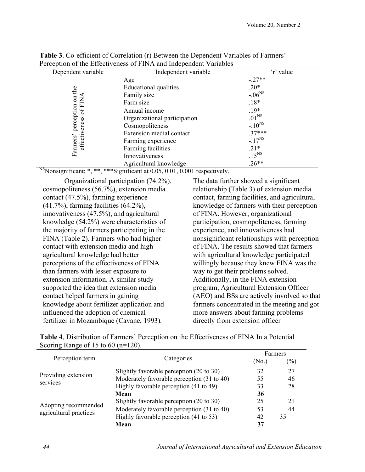| Dependent variable          | Independent variable         | 'r' value         |  |
|-----------------------------|------------------------------|-------------------|--|
|                             | Age                          | $-.27**$          |  |
| the                         | Educational qualities        | $.20*$            |  |
|                             | Family size                  | $-.06^{NS}$       |  |
| $\overline{a}$<br>后         | Farm size                    | $.18*$            |  |
| $\sigma$                    | Annual income                | $.19*$            |  |
|                             | Organizational participation | .01 <sup>NS</sup> |  |
| perception<br>effectiveness | Cosmopoliteness              | $-.10^{NS}$       |  |
|                             | Extension medial contact     | $.37***$          |  |
| Farmers'                    | Farming experience           | $-.17^{NS}$       |  |
|                             | Farming facilities           | $.21*$            |  |
|                             | Innovativeness               | .15 <sup>NS</sup> |  |
|                             | Agricultural knowledge       | $.26**$           |  |

**Table 3**. Co-efficient of Correlation (r) Between the Dependent Variables of Farmers' Perception of the Effectiveness of FINA and Independent Variables

<sup>NS</sup>Nonsignificant; \*, \*\*, \*\*\* Significant at 0.05, 0.01, 0.001 respectively.

Organizational participation (74.2%), cosmopoliteness (56.7%), extension media contact (47.5%), farming experience (41.7%), farming facilities (64.2%), innovativeness (47.5%), and agricultural knowledge (54.2%) were characteristics of the majority of farmers participating in the FINA (Table 2). Farmers who had higher contact with extension media and high agricultural knowledge had better perceptions of the effectiveness of FINA than farmers with lesser exposure to extension information. A similar study supported the idea that extension media contact helped farmers in gaining knowledge about fertilizer application and influenced the adoption of chemical fertilizer in Mozambique (Cavane, 1993)*.*

The data further showed a significant relationship (Table 3) of extension media contact, farming facilities, and agricultural knowledge of farmers with their perception of FINA. However, organizational participation, cosmopoliteness, farming experience, and innovativeness had nonsignificant relationships with perception of FINA. The results showed that farmers with agricultural knowledge participated willingly because they knew FINA was the way to get their problems solved. Additionally, in the FINA extension program, Agricultural Extension Officer (AEO) and BSs are actively involved so that farmers concentrated in the meeting and got more answers about farming problems directly from extension officer

|                                        | <b>Table 4.</b> Distribution of Farmers' Perception on the Effectiveness of FINA In a Potential |
|----------------------------------------|-------------------------------------------------------------------------------------------------|
| Scoring Range of 15 to 60 ( $n=120$ ). |                                                                                                 |

|                                                |                                            | Farmers           |        |  |
|------------------------------------------------|--------------------------------------------|-------------------|--------|--|
| Perception term                                | Categories                                 | (N <sub>0</sub> ) | $(\%)$ |  |
| Providing extension                            | Slightly favorable perception (20 to 30)   | 32                | 27     |  |
| services                                       | Moderately favorable perception (31 to 40) | 55                | 46     |  |
|                                                | Highly favorable perception (41 to 49)     | 33                | 28     |  |
|                                                | Mean                                       | 36                |        |  |
|                                                | Slightly favorable perception (20 to 30)   | 25                | 21     |  |
| Adopting recommended<br>agricultural practices | Moderately favorable perception (31 to 40) | 53                | 44     |  |
|                                                | Highly favorable perception (41 to 53)     | 42                | 35     |  |
|                                                | Mean                                       | 37                |        |  |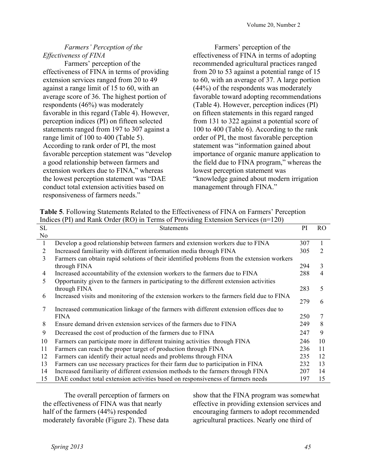# *Farmers' Perception of the Effectiveness of FINA*

Farmers' perception of the effectiveness of FINA in terms of providing extension services ranged from 20 to 49 against a range limit of 15 to 60, with an average score of 36. The highest portion of respondents (46%) was moderately favorable in this regard (Table 4). However, perception indices (PI) on fifteen selected statements ranged from 197 to 307 against a range limit of 100 to 400 (Table 5). According to rank order of PI, the most favorable perception statement was "develop a good relationship between farmers and extension workers due to FINA," whereas the lowest perception statement was "DAE conduct total extension activities based on responsiveness of farmers needs."

Farmers' perception of the effectiveness of FINA in terms of adopting recommended agricultural practices ranged from 20 to 53 against a potential range of 15 to 60, with an average of 37. A large portion (44%) of the respondents was moderately favorable toward adopting recommendations (Table 4). However, perception indices (PI) on fifteen statements in this regard ranged from 131 to 322 against a potential score of 100 to 400 (Table 6). According to the rank order of PI, the most favorable perception statement was "information gained about importance of organic manure application to the field due to FINA program," whereas the lowest perception statement was "knowledge gained about modern irrigation management through FINA."

| <b>Table 5.</b> Following Statements Related to the Effectiveness of FINA on Farmers' Perception |  |
|--------------------------------------------------------------------------------------------------|--|
| Indices (PI) and Rank Order (RO) in Terms of Providing Extension Services ( $n=120$ )            |  |

| <b>SL</b>    | <b>Statements</b>                                                                          | PI  | <sub>RO</sub> |
|--------------|--------------------------------------------------------------------------------------------|-----|---------------|
| No           |                                                                                            |     |               |
| $\mathbf{1}$ | Develop a good relationship between farmers and extension workers due to FINA              | 307 |               |
| 2            | Increased familiarity with different information media through FINA                        | 305 | 2             |
| 3            | Farmers can obtain rapid solutions of their identified problems from the extension workers |     |               |
|              | through FINA                                                                               | 294 | 3             |
| 4            | Increased accountability of the extension workers to the farmers due to FINA               | 288 | 4             |
| 5            | Opportunity given to the farmers in participating to the different extension activities    |     |               |
|              | through FINA                                                                               | 283 | 5             |
| 6            | Increased visits and monitoring of the extension workers to the farmers field due to FINA  |     |               |
|              |                                                                                            | 279 | 6             |
| 7            | Increased communication linkage of the farmers with different extension offices due to     |     |               |
|              | <b>FINA</b>                                                                                | 250 | 7             |
| 8            | Ensure demand driven extension services of the farmers due to FINA                         | 249 | 8             |
| 9            | Decreased the cost of production of the farmers due to FINA                                | 247 | 9             |
| 10           | Farmers can participate more in different training activities through FINA                 | 246 | 10            |
| 11           | Farmers can reach the proper target of production through FINA                             | 236 | 11            |
| 12           | Farmers can identify their actual needs and problems through FINA                          | 235 | 12            |
| 13           | Farmers can use necessary practices for their farm due to participation in FINA            | 232 | 13            |
| 14           | Increased familiarity of different extension methods to the farmers through FINA           | 207 | 14            |
| 15           | DAE conduct total extension activities based on responsiveness of farmers needs            | 197 | 15            |

The overall perception of farmers on the effectiveness of FINA was that nearly half of the farmers (44%) responded moderately favorable (Figure 2). These data

show that the FINA program was somewhat effective in providing extension services and encouraging farmers to adopt recommended agricultural practices. Nearly one third of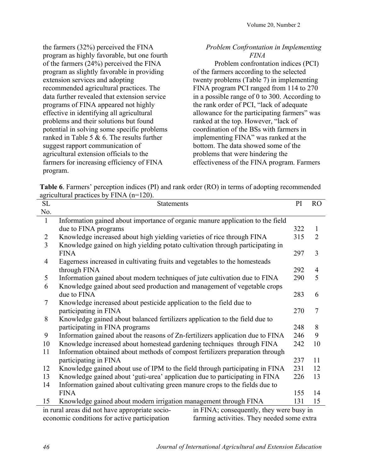the farmers (32%) perceived the FINA program as highly favorable, but one fourth of the farmers (24%) perceived the FINA program as slightly favorable in providing extension services and adopting recommended agricultural practices. The data further revealed that extension service programs of FINA appeared not highly effective in identifying all agricultural problems and their solutions but found potential in solving some specific problems ranked in Table 5 & 6. The results further suggest rapport communication of agricultural extension officials to the farmers for increasing efficiency of FINA program.

## *Problem Confrontation in Implementing FINA*

Problem confrontation indices (PCI) of the farmers according to the selected twenty problems (Table 7) in implementing FINA program PCI ranged from 114 to 270 in a possible range of 0 to 300. According to the rank order of PCI, "lack of adequate allowance for the participating farmers" was ranked at the top. However, "lack of coordination of the BSs with farmers in implementing FINA" was ranked at the bottom. The data showed some of the problems that were hindering the effectiveness of the FINA program. Farmers

**Table 6**. Farmers' perception indices (PI) and rank order (RO) in terms of adopting recommended agricultural practices by FINA (n=120).

| SL             | $\mu$<br><b>Statements</b>                                                                 | PI  | R <sub>O</sub> |
|----------------|--------------------------------------------------------------------------------------------|-----|----------------|
| No.            |                                                                                            |     |                |
| $\mathbf{1}$   | Information gained about importance of organic manure application to the field             |     |                |
|                | due to FINA programs                                                                       | 322 | $\mathbf{1}$   |
| $\overline{2}$ | Knowledge increased about high yielding varieties of rice through FINA                     | 315 | 2              |
| $\overline{3}$ | Knowledge gained on high yielding potato cultivation through participating in              |     |                |
|                | <b>FINA</b>                                                                                | 297 | $\overline{3}$ |
| $\overline{4}$ | Eagerness increased in cultivating fruits and vegetables to the homesteads                 |     |                |
|                | through FINA                                                                               | 292 | $\overline{4}$ |
| 5              | Information gained about modern techniques of jute cultivation due to FINA                 | 290 | 5              |
| 6              | Knowledge gained about seed production and management of vegetable crops                   |     |                |
|                | due to FINA                                                                                | 283 | 6              |
| 7              | Knowledge increased about pesticide application to the field due to                        |     |                |
|                | participating in FINA                                                                      | 270 | $\overline{7}$ |
| 8              | Knowledge gained about balanced fertilizers application to the field due to                |     |                |
|                | participating in FINA programs                                                             | 248 | 8              |
| 9              | Information gained about the reasons of Zn-fertilizers application due to FINA             | 246 | 9              |
| 10             | Knowledge increased about homestead gardening techniques through FINA                      | 242 | 10             |
| 11             | Information obtained about methods of compost fertilizers preparation through              |     |                |
|                | participating in FINA                                                                      | 237 | 11             |
| 12             | Knowledge gained about use of IPM to the field through participating in FINA               | 231 | 12             |
| 13             | Knowledge gained about 'guti-urea' application due to participating in FINA                | 226 | 13             |
| 14             | Information gained about cultivating green manure crops to the fields due to               |     |                |
|                | <b>FINA</b>                                                                                | 155 | 14             |
| 15             | Knowledge gained about modern irrigation management through FINA                           | 131 | 15             |
|                | in rural areas did not have appropriate socio-<br>in FINA; consequently, they were busy in |     |                |
|                | economic conditions for active participation<br>farming activities. They needed some extra |     |                |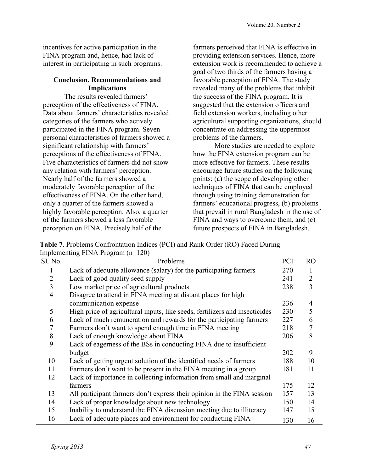incentives for active participation in the FINA program and, hence, had lack of interest in participating in such programs.

# **Conclusion, Recommendations and Implications**

The results revealed farmers' perception of the effectiveness of FINA. Data about farmers' characteristics revealed categories of the farmers who actively participated in the FINA program. Seven personal characteristics of farmers showed a significant relationship with farmers' perceptions of the effectiveness of FINA. Five characteristics of farmers did not show any relation with farmers' perception. Nearly half of the farmers showed a moderately favorable perception of the effectiveness of FINA. On the other hand, only a quarter of the farmers showed a highly favorable perception. Also, a quarter of the farmers showed a less favorable perception on FINA. Precisely half of the

farmers perceived that FINA is effective in providing extension services. Hence, more extension work is recommended to achieve a goal of two thirds of the farmers having a favorable perception of FINA. The study revealed many of the problems that inhibit the success of the FINA program. It is suggested that the extension officers and field extension workers, including other agricultural supporting organizations, should concentrate on addressing the uppermost problems of the farmers.

More studies are needed to explore how the FINA extension program can be more effective for farmers. These results encourage future studies on the following points: (a) the scope of developing other techniques of FINA that can be employed through using training demonstration for farmers' educational progress, (b) problems that prevail in rural Bangladesh in the use of FINA and ways to overcome them, and (c) future prospects of FINA in Bangladesh.

**Table 7**. Problems Confrontation Indices (PCI) and Rank Order (RO) Faced During Implementing FINA Program  $(n=120)$ 

| SL No.         | $\mu$ and $\mu$ and $\mu$ and $\mu$ and $\mu$ and $\mu$<br>Problems         | <b>PCI</b> | <b>RO</b>      |
|----------------|-----------------------------------------------------------------------------|------------|----------------|
|                | Lack of adequate allowance (salary) for the participating farmers           | 270        | 1              |
| 2              | Lack of good quality seed supply                                            | 241        | $\overline{2}$ |
| 3              | Low market price of agricultural products                                   | 238        | 3              |
| $\overline{4}$ | Disagree to attend in FINA meeting at distant places for high               |            |                |
|                | communication expense                                                       | 236        | 4              |
| 5              | High price of agricultural inputs, like seeds, fertilizers and insecticides | 230        | 5              |
| 6              | Lack of much remuneration and rewards for the participating farmers         | 227        | 6              |
| 7              | Farmers don't want to spend enough time in FINA meeting                     | 218        | 7              |
| 8              | Lack of enough knowledge about FINA                                         | 206        | 8              |
| 9              | Lack of eagerness of the BSs in conducting FINA due to insufficient         |            |                |
|                | budget                                                                      | 202        | 9              |
| 10             | Lack of getting urgent solution of the identified needs of farmers          | 188        | 10             |
| 11             | Farmers don't want to be present in the FINA meeting in a group             | 181        | 11             |
| 12             | Lack of importance in collecting information from small and marginal        |            |                |
|                | farmers                                                                     | 175        | 12             |
| 13             | All participant farmers don't express their opinion in the FINA session     | 157        | 13             |
| 14             | Lack of proper knowledge about new technology                               | 150        | 14             |
| 15             | Inability to understand the FINA discussion meeting due to illiteracy       | 147        | 15             |
| 16             | Lack of adequate places and environment for conducting FINA                 | 130        | 16             |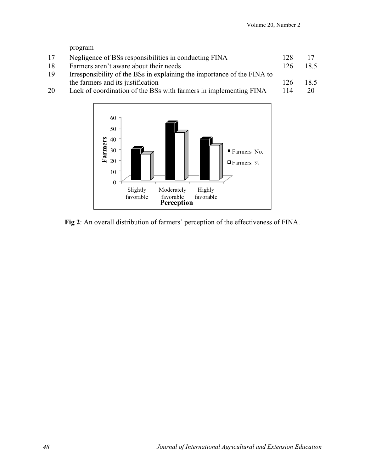|    | program                                                                 |     |      |
|----|-------------------------------------------------------------------------|-----|------|
| 17 | Negligence of BSs responsibilities in conducting FINA                   | 128 | 17   |
| 18 | Farmers aren't aware about their needs                                  | 126 | 18.5 |
| 19 | Irresponsibility of the BSs in explaining the importance of the FINA to |     |      |
|    | the farmers and its justification                                       | 126 | 18.5 |
| 20 | Lack of coordination of the BSs with farmers in implementing FINA       | 114 | 20   |



**Fig 2**: An overall distribution of farmers' perception of the effectiveness of FINA.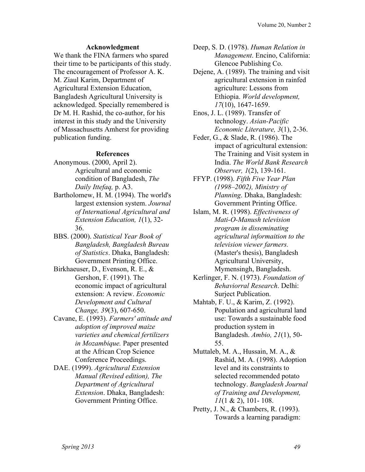### **Acknowledgment**

We thank the FINA farmers who spared their time to be participants of this study. The encouragement of Professor A. K. M. Ziaul Karim, Department of Agricultural Extension Education, Bangladesh Agricultural University is acknowledged. Specially remembered is Dr M. H. Rashid, the co-author, for his interest in this study and the University of Massachusetts Amherst for providing publication funding.

### **References**

- Anonymous. (2000, April 2). Agricultural and economic condition of Bangladesh, *The Daily Ittefaq,* p. A3.
- Bartholomew, H. M. (1994). The world's largest extension system. *Journal of International Agricultural and Extension Education, 1*(1), 32- 36.
- BBS. (2000). *Statistical Year Book of Bangladesh, Bangladesh Bureau of Statistics*. Dhaka, Bangladesh: Government Printing Office.
- Birkhaeuser, D., Evenson, R. E., & Gershon, F. (1991). The economic impact of agricultural extension: A review. *Economic Development and Cultural Change, 39*(3), 607-650.
- Cavane, E. (1993). *Farmers' attitude and adoption of improved maize varieties and chemical fertilizers in Mozambique.* Paper presented at the African Crop Science Conference Proceedings.
- DAE. (1999). *Agricultural Extension Manual (Revised edition), The Department of Agricultural Extension*. Dhaka, Bangladesh: Government Printing Office.
- Deep, S. D. (1978). *Human Relation in Management*. Encino, California: Glencoe Publishing Co.
- Dejene, A. (1989). The training and visit agricultural extension in rainfed agriculture: Lessons from Ethiopia. *World development, 17*(10), 1647-1659.
- Enos, J. L. (1989). Transfer of technology. *Asian-Pacific Economic Literature, 3*(1), 2-36.
- Feder, G., & Slade, R. (1986). The impact of agricultural extension: The Training and Visit system in India. *The World Bank Research Observer, 1*(2), 139-161.
- FFYP. (1998). *Fifth Five Year Plan (1998–2002), Ministry of Planning*. Dhaka, Bangladesh: Government Printing Office.
- Islam, M. R. (1998). *Effectiveness of Mati-O-Manush television program in disseminating agricultural informaition to the television viewer farmers.* (Master's thesis), Bangladesh Agricultural University, Mymensingh, Bangladesh.
- Kerlinger, F. N. (1973). *Foundation of Behaviorral Research*. Delhi: Surject Publication.
- Mahtab, F. U., & Karim, Z. (1992). Population and agricultural land use: Towards a sustainable food production system in Bangladesh. *Ambio, 21*(1), 50- 55.
- Muttaleb, M. A., Hussain, M. A., & Rashid, M. A. (1998). Adoption level and its constraints to selected recommended potato technology. *Bangladesh Journal of Training and Development, 11*(1 & 2), 101- 108.
- Pretty, J. N., & Chambers, R. (1993). Towards a learning paradigm: